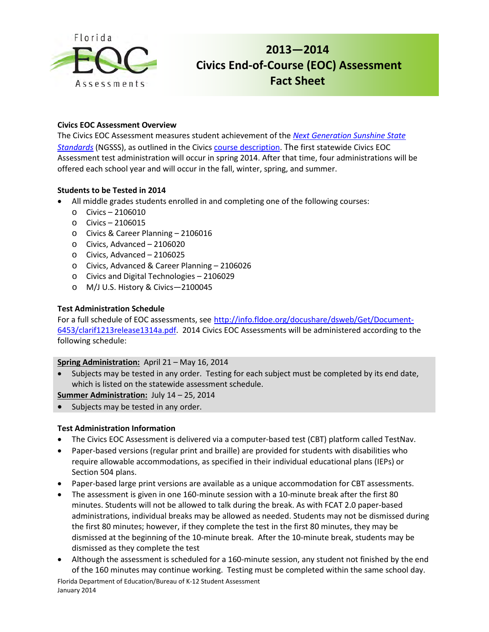

# **2013—2014 Civics End-of-Course (EOC) Assessment Fact Sheet**

## **Civics EOC Assessment Overview**

The Civics EOC Assessment measures student achievement of the *[Next Generation Sunshine State](http://www.floridastandards.org/index.aspx)  [Standards](http://www.floridastandards.org/index.aspx)* (NGSSS), as outlined in the Civics [course description.](http://www.cpalms.org/Courses/PublicPreviewCourse561.aspx?ct=1&kw=2106015) The first statewide Civics EOC Assessment test administration will occur in spring 2014. After that time, four administrations will be offered each school year and will occur in the fall, winter, spring, and summer.

## **Students to be Tested in 2014**

- All middle grades students enrolled in and completing one of the following courses:
	- $\circ$  Civics 2106010
	- o Civics 2106015
	- o Civics & Career Planning 2106016
	- o Civics, Advanced 2106020
	- o Civics, Advanced 2106025
	- o Civics, Advanced & Career Planning 2106026
	- o Civics and Digital Technologies 2106029
	- o M/J U.S. History & Civics—2100045

## **Test Administration Schedule**

For a full schedule of EOC assessments, see [http://info.fldoe.org/docushare/dsweb/Get/Document-](http://info.fldoe.org/docushare/dsweb/Get/Document-6453/clarif1213release1314a.pdf)[6453/clarif1213release1314a.pdf.](http://info.fldoe.org/docushare/dsweb/Get/Document-6453/clarif1213release1314a.pdf) 2014 Civics EOC Assessments will be administered according to the following schedule:

#### **Spring Administration:** April 21 – May 16, 2014

Subjects may be tested in any order. Testing for each subject must be completed by its end date, which is listed on the statewide assessment schedule.

**Summer Administration:** July 14 – 25, 2014

• Subjects may be tested in any order.

#### **Test Administration Information**

- The Civics EOC Assessment is delivered via a computer-based test (CBT) platform called TestNav.
- Paper-based versions (regular print and braille) are provided for students with disabilities who require allowable accommodations, as specified in their individual educational plans (IEPs) or Section 504 plans.
- Paper-based large print versions are available as a unique accommodation for CBT assessments.
- The assessment is given in one 160-minute session with a 10-minute break after the first 80 minutes. Students will not be allowed to talk during the break. As with FCAT 2.0 paper-based administrations, individual breaks may be allowed as needed. Students may not be dismissed during the first 80 minutes; however, if they complete the test in the first 80 minutes, they may be dismissed at the beginning of the 10-minute break. After the 10-minute break, students may be dismissed as they complete the test
- Although the assessment is scheduled for a 160-minute session, any student not finished by the end of the 160 minutes may continue working. Testing must be completed within the same school day.

Florida Department of Education/Bureau of K-12 Student Assessment January 2014